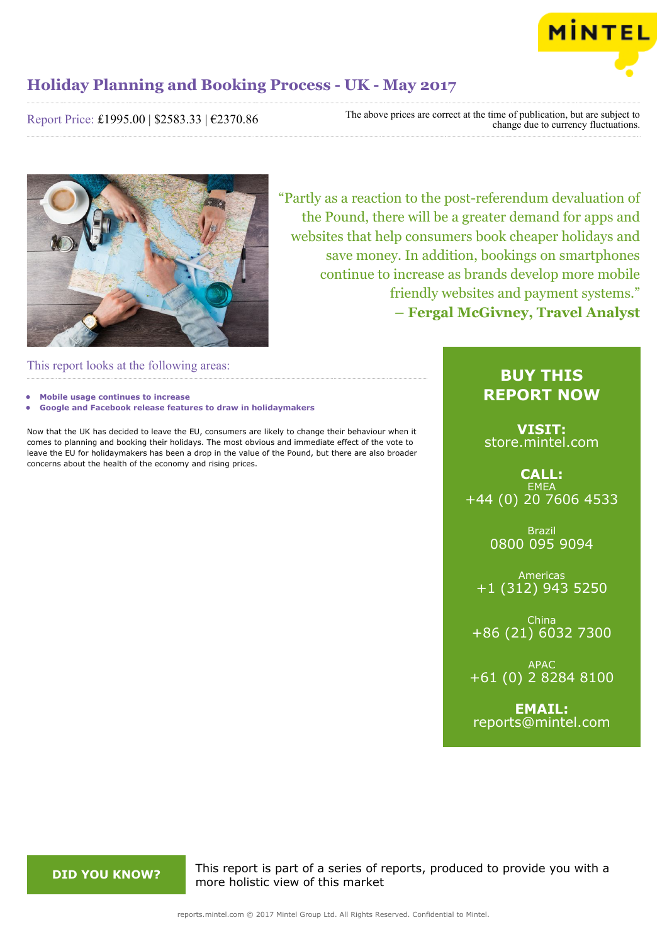

Report Price: £1995.00 | \$2583.33 | €2370.86

The above prices are correct at the time of publication, but are subject to change due to currency fluctuations.



"Partly as a reaction to the post-referendum devaluation of the Pound, there will be a greater demand for apps and websites that help consumers book cheaper holidays and save money. In addition, bookings on smartphones continue to increase as brands develop more mobile friendly websites and payment systems." **– Fergal McGivney, Travel Analyst**

This report looks at the following areas:

- **• Mobile usage continues to increase**
- **• Google and Facebook release features to draw in holidaymakers**

Now that the UK has decided to leave the EU, consumers are likely to change their behaviour when it comes to planning and booking their holidays. The most obvious and immediate effect of the vote to leave the EU for holidaymakers has been a drop in the value of the Pound, but there are also broader concerns about the health of the economy and rising prices.

# **BUY THIS REPORT NOW**

**VISIT:** [store.mintel.com](http://reports.mintel.com//display/store/793399/)

**CALL: EMEA** +44 (0) 20 7606 4533

> Brazil 0800 095 9094

Americas +1 (312) 943 5250

China +86 (21) 6032 7300

APAC +61 (0) 2 8284 8100

**EMAIL:** [reports@mintel.com](mailto:reports@mintel.com)

**DID YOU KNOW?** This report is part of a series of reports, produced to provide you with a more holistic view of this market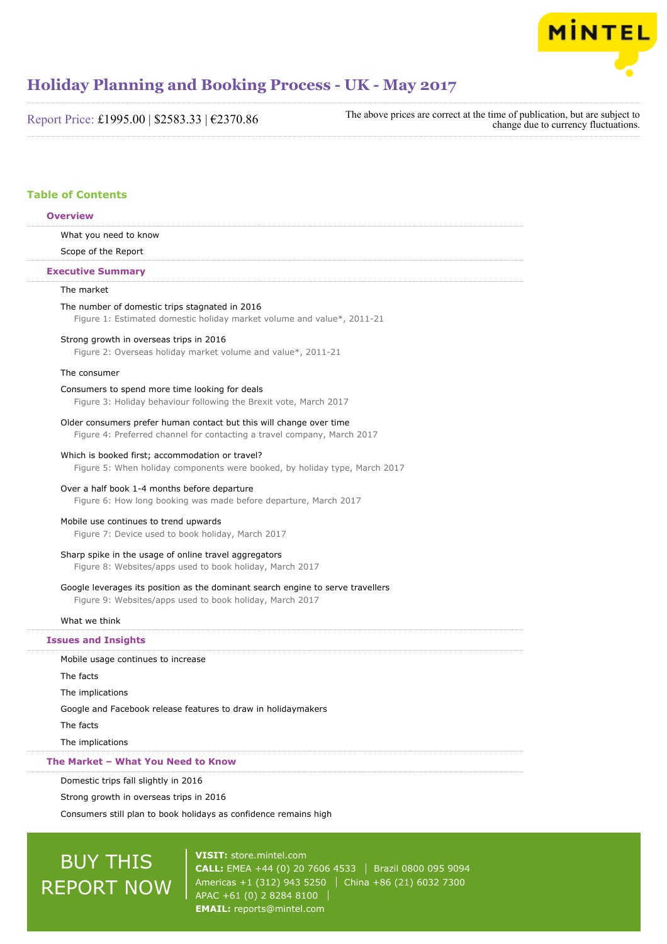

Report Price: £1995.00 | \$2583.33 | €2370.86

The above prices are correct at the time of publication, but are subject to change due to currency fluctuations.

# **Table of Contents**

# **Overview**

What you need to know

# Scope of the Report

### **Executive Summary**

# The market

The number of domestic trips stagnated in 2016 Figure 1: Estimated domestic holiday market volume and value\*, 2011-21

### Strong growth in overseas trips in 2016

Figure 2: Overseas holiday market volume and value\*, 2011-21

# The consumer

### Consumers to spend more time looking for deals

Figure 3: Holiday behaviour following the Brexit vote, March 2017

#### Older consumers prefer human contact but this will change over time

Figure 4: Preferred channel for contacting a travel company, March 2017

#### Which is booked first; accommodation or travel?

Figure 5: When holiday components were booked, by holiday type, March 2017

# Over a half book 1-4 months before departure

Figure 6: How long booking was made before departure, March 2017

# Mobile use continues to trend upwards

Figure 7: Device used to book holiday, March 2017

# Sharp spike in the usage of online travel aggregators

Figure 8: Websites/apps used to book holiday, March 2017

# Google leverages its position as the dominant search engine to serve travellers

Figure 9: Websites/apps used to book holiday, March 2017

# What we think

#### **Issues and Insights**

Mobile usage continues to increase

The facts

The implications

Google and Facebook release features to draw in holidaymakers

The facts

The implications

# **The Market – What You Need to Know**

Domestic trips fall slightly in 2016

Strong growth in overseas trips in 2016

Consumers still plan to book holidays as confidence remains high

# BUY THIS REPORT NOW

**VISIT:** [store.mintel.com](http://reports.mintel.com//display/store/793399/) **CALL:** EMEA +44 (0) 20 7606 4533 Brazil 0800 095 9094 Americas +1 (312) 943 5250 | China +86 (21) 6032 7300 APAC +61 (0) 2 8284 8100 **EMAIL:** [reports@mintel.com](mailto:reports@mintel.com)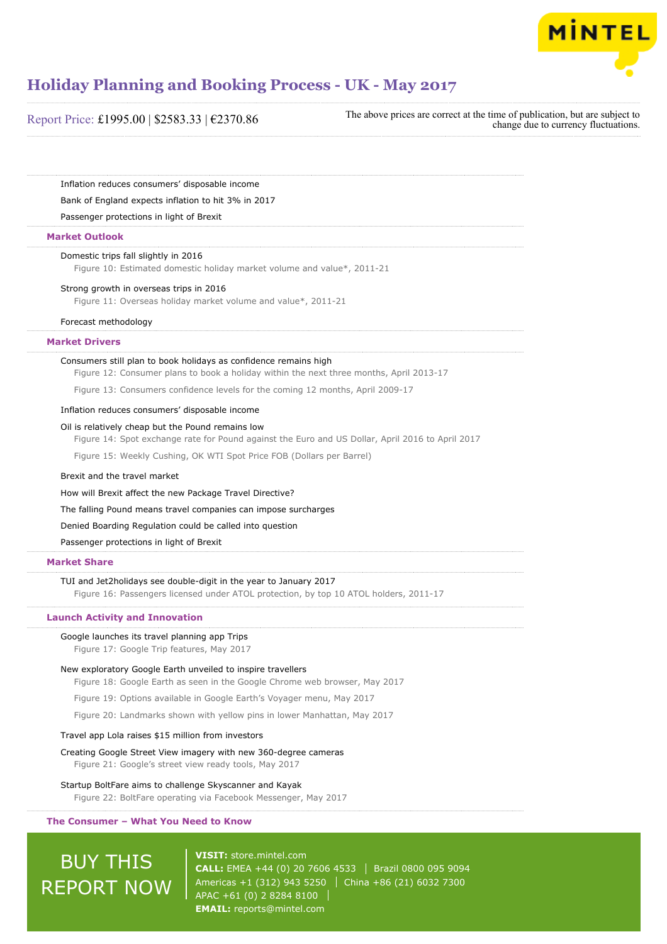

# Report Price: £1995.00 | \$2583.33 | €2370.86

The above prices are correct at the time of publication, but are subject to change due to currency fluctuations.

Inflation reduces consumers' disposable income

Bank of England expects inflation to hit 3% in 2017

Passenger protections in light of Brexit

# **Market Outlook**

#### Domestic trips fall slightly in 2016

Figure 10: Estimated domestic holiday market volume and value\*, 2011-21

## Strong growth in overseas trips in 2016

Figure 11: Overseas holiday market volume and value\*, 2011-21

### Forecast methodology

# **Market Drivers**

## Consumers still plan to book holidays as confidence remains high

Figure 12: Consumer plans to book a holiday within the next three months, April 2013-17

Figure 13: Consumers confidence levels for the coming 12 months, April 2009-17

# Inflation reduces consumers' disposable income

## Oil is relatively cheap but the Pound remains low

Figure 14: Spot exchange rate for Pound against the Euro and US Dollar, April 2016 to April 2017

Figure 15: Weekly Cushing, OK WTI Spot Price FOB (Dollars per Barrel)

## Brexit and the travel market

How will Brexit affect the new Package Travel Directive?

The falling Pound means travel companies can impose surcharges

Denied Boarding Regulation could be called into question

Passenger protections in light of Brexit

# **Market Share**

TUI and Jet2holidays see double-digit in the year to January 2017

Figure 16: Passengers licensed under ATOL protection, by top 10 ATOL holders, 2011-17

## **Launch Activity and Innovation**

#### Google launches its travel planning app Trips

Figure 17: Google Trip features, May 2017

#### New exploratory Google Earth unveiled to inspire travellers

Figure 18: Google Earth as seen in the Google Chrome web browser, May 2017

Figure 19: Options available in Google Earth's Voyager menu, May 2017

Figure 20: Landmarks shown with yellow pins in lower Manhattan, May 2017

# Travel app Lola raises \$15 million from investors

# Creating Google Street View imagery with new 360-degree cameras Figure 21: Google's street view ready tools, May 2017

# Startup BoltFare aims to challenge Skyscanner and Kayak

Figure 22: BoltFare operating via Facebook Messenger, May 2017

# **The Consumer – What You Need to Know**

# BUY THIS REPORT NOW

**VISIT:** [store.mintel.com](http://reports.mintel.com//display/store/793399/) **CALL:** EMEA +44 (0) 20 7606 4533 Brazil 0800 095 9094 Americas +1 (312) 943 5250 | China +86 (21) 6032 7300 APAC +61 (0) 2 8284 8100 **EMAIL:** [reports@mintel.com](mailto:reports@mintel.com)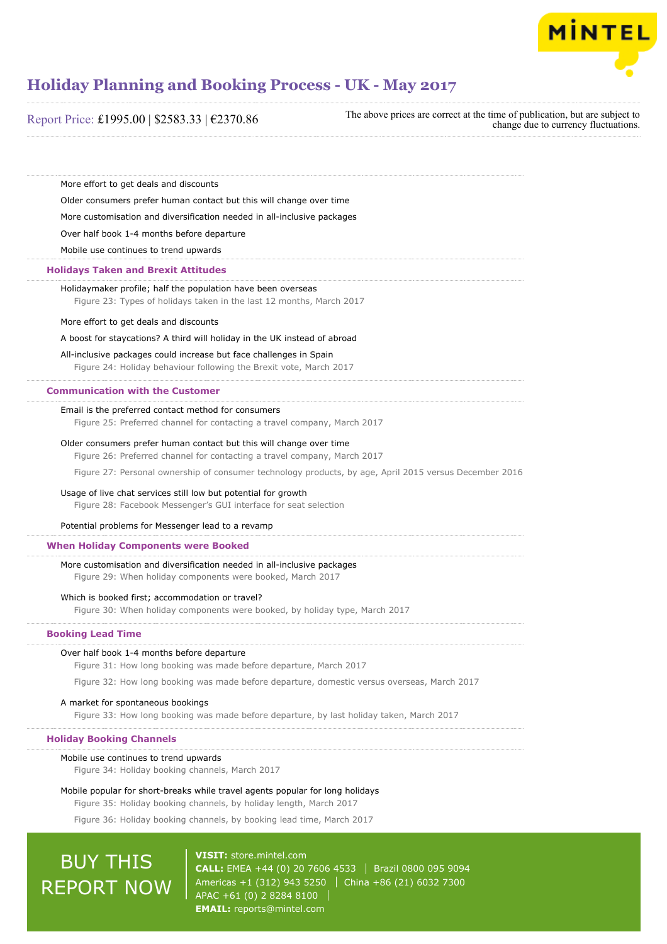

| Report Price: £1995.00   \$2583.33   €2370.86 |  |  |  |  |
|-----------------------------------------------|--|--|--|--|
|-----------------------------------------------|--|--|--|--|

The above prices are correct at the time of publication, but are subject to change due to currency fluctuations.

More effort to get deals and discounts

Older consumers prefer human contact but this will change over time

More customisation and diversification needed in all-inclusive packages

Over half book 1-4 months before departure

Mobile use continues to trend upwards

# **Holidays Taken and Brexit Attitudes**

Holidaymaker profile; half the population have been overseas

Figure 23: Types of holidays taken in the last 12 months, March 2017

#### More effort to get deals and discounts

#### A boost for staycations? A third will holiday in the UK instead of abroad

All-inclusive packages could increase but face challenges in Spain

Figure 24: Holiday behaviour following the Brexit vote, March 2017

# **Communication with the Customer**

### Email is the preferred contact method for consumers

Figure 25: Preferred channel for contacting a travel company, March 2017

## Older consumers prefer human contact but this will change over time

Figure 26: Preferred channel for contacting a travel company, March 2017

Figure 27: Personal ownership of consumer technology products, by age, April 2015 versus December 2016

#### Usage of live chat services still low but potential for growth

Figure 28: Facebook Messenger's GUI interface for seat selection

# Potential problems for Messenger lead to a revamp

# **When Holiday Components were Booked**

#### More customisation and diversification needed in all-inclusive packages

Figure 29: When holiday components were booked, March 2017

### Which is booked first; accommodation or travel?

Figure 30: When holiday components were booked, by holiday type, March 2017

## **Booking Lead Time**

#### Over half book 1-4 months before departure

Figure 31: How long booking was made before departure, March 2017

Figure 32: How long booking was made before departure, domestic versus overseas, March 2017

#### A market for spontaneous bookings

Figure 33: How long booking was made before departure, by last holiday taken, March 2017

#### **Holiday Booking Channels**

# Mobile use continues to trend upwards

Figure 34: Holiday booking channels, March 2017

# Mobile popular for short-breaks while travel agents popular for long holidays Figure 35: Holiday booking channels, by holiday length, March 2017

Figure 36: Holiday booking channels, by booking lead time, March 2017

# BUY THIS REPORT NOW

**VISIT:** [store.mintel.com](http://reports.mintel.com//display/store/793399/) **CALL:** EMEA +44 (0) 20 7606 4533 Brazil 0800 095 9094 Americas +1 (312) 943 5250 | China +86 (21) 6032 7300 APAC +61 (0) 2 8284 8100 **EMAIL:** [reports@mintel.com](mailto:reports@mintel.com)